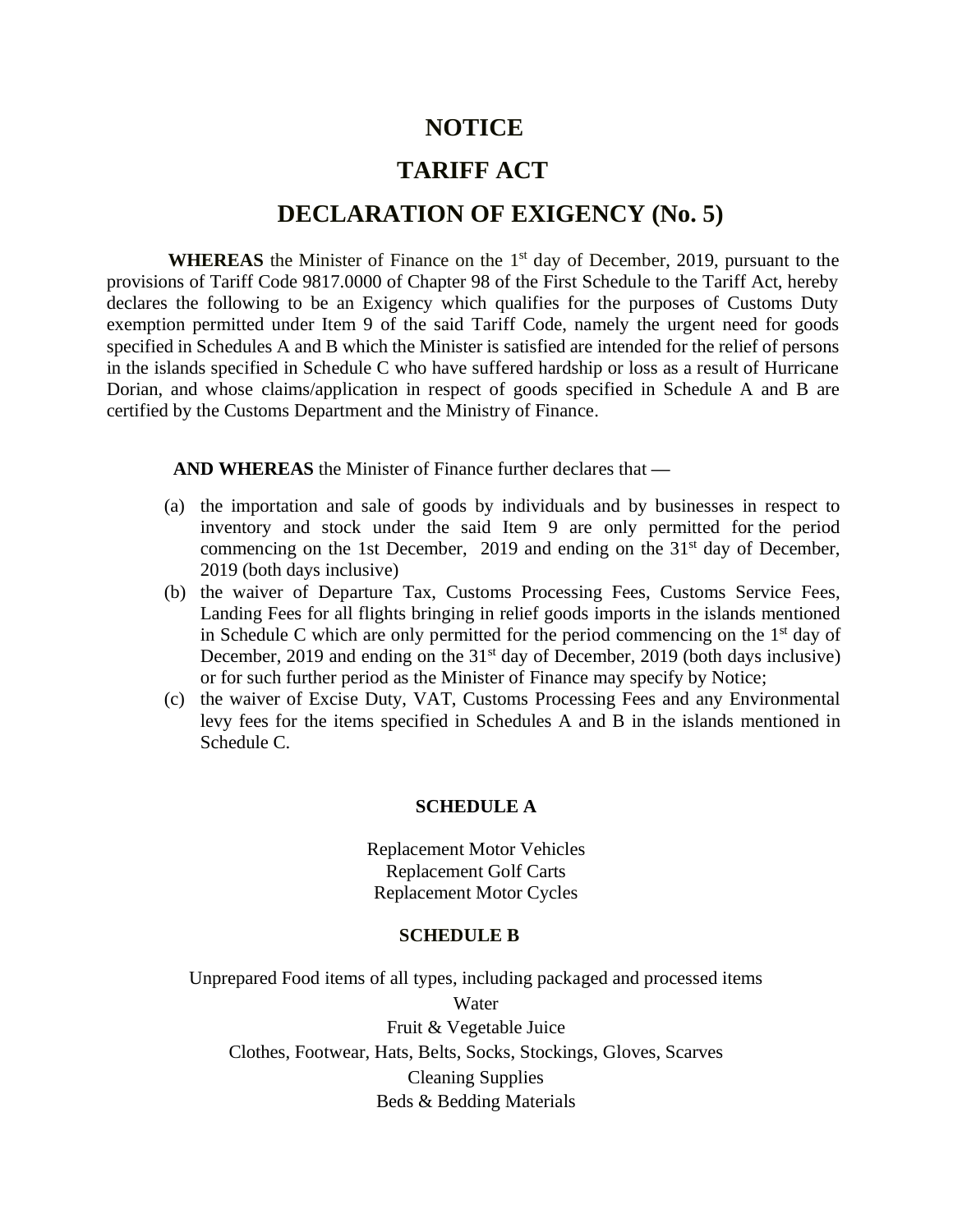# **NOTICE**

# **TARIFF ACT**

## **DECLARATION OF EXIGENCY (No. 5)**

WHEREAS the Minister of Finance on the 1<sup>st</sup> day of December, 2019, pursuant to the provisions of Tariff Code 9817.0000 of Chapter 98 of the First Schedule to the Tariff Act, hereby declares the following to be an Exigency which qualifies for the purposes of Customs Duty exemption permitted under Item 9 of the said Tariff Code, namely the urgent need for goods specified in Schedules A and B which the Minister is satisfied are intended for the relief of persons in the islands specified in Schedule C who have suffered hardship or loss as a result of Hurricane Dorian, and whose claims/application in respect of goods specified in Schedule A and B are certified by the Customs Department and the Ministry of Finance.

**AND WHEREAS** the Minister of Finance further declares that **—**

- (a) the importation and sale of goods by individuals and by businesses in respect to inventory and stock under the said Item 9 are only permitted for the period commencing on the 1st December, 2019 and ending on the  $31<sup>st</sup>$  day of December, 2019 (both days inclusive)
- (b) the waiver of Departure Tax, Customs Processing Fees, Customs Service Fees, Landing Fees for all flights bringing in relief goods imports in the islands mentioned in Schedule C which are only permitted for the period commencing on the  $1<sup>st</sup>$  day of December, 2019 and ending on the 31<sup>st</sup> day of December, 2019 (both days inclusive) or for such further period as the Minister of Finance may specify by Notice;
- (c) the waiver of Excise Duty, VAT, Customs Processing Fees and any Environmental levy fees for the items specified in Schedules A and B in the islands mentioned in Schedule C.

#### **SCHEDULE A**

Replacement Motor Vehicles Replacement Golf Carts Replacement Motor Cycles

### **SCHEDULE B**

Unprepared Food items of all types, including packaged and processed items Water Fruit & Vegetable Juice Clothes, Footwear, Hats, Belts, Socks, Stockings, Gloves, Scarves Cleaning Supplies Beds & Bedding Materials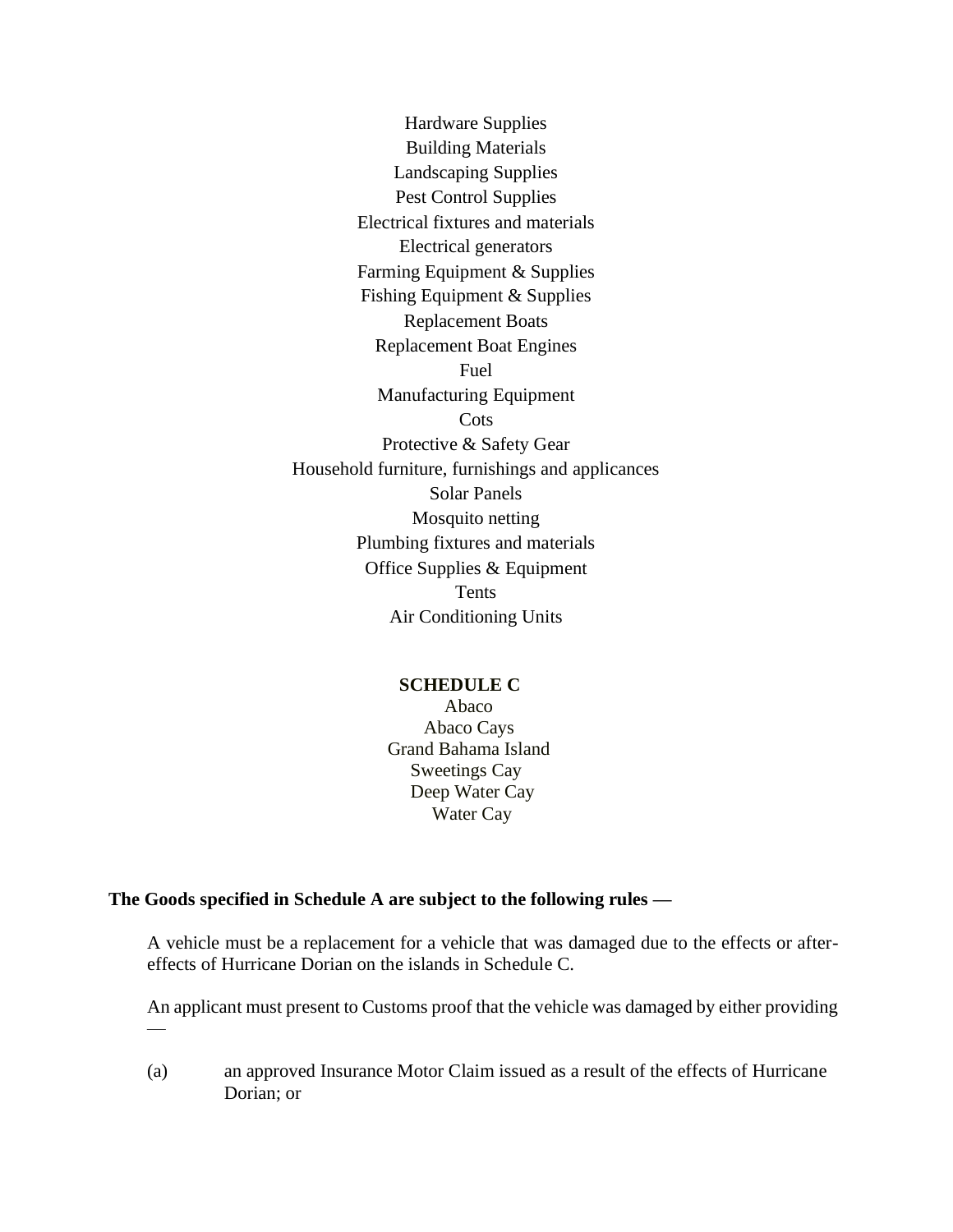Hardware Supplies Building Materials Landscaping Supplies Pest Control Supplies Electrical fixtures and materials Electrical generators Farming Equipment & Supplies Fishing Equipment & Supplies Replacement Boats Replacement Boat Engines Fuel Manufacturing Equipment **Cots** Protective & Safety Gear Household furniture, furnishings and applicances Solar Panels Mosquito netting Plumbing fixtures and materials Office Supplies & Equipment Tents Air Conditioning Units

### **SCHEDULE C**

Abaco Abaco Cays Grand Bahama Island Sweetings Cay Deep Water Cay Water Cay

### **The Goods specified in Schedule A are subject to the following rules —**

 $\overline{\phantom{a}}$ 

A vehicle must be a replacement for a vehicle that was damaged due to the effects or aftereffects of Hurricane Dorian on the islands in Schedule C.

An applicant must present to Customs proof that the vehicle was damaged by either providing

(a) an approved Insurance Motor Claim issued as a result of the effects of Hurricane Dorian; or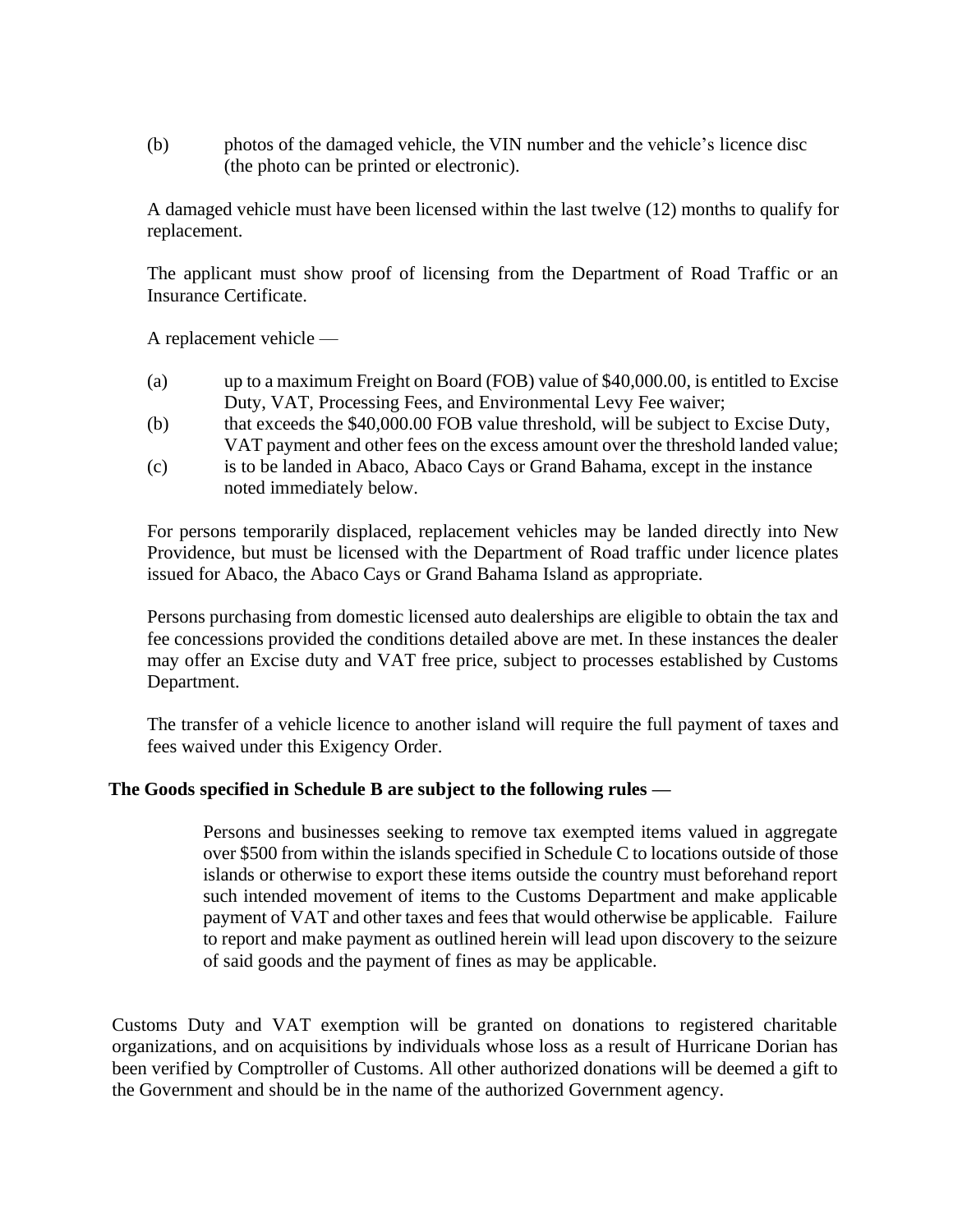(b) photos of the damaged vehicle, the VIN number and the vehicle's licence disc (the photo can be printed or electronic).

A damaged vehicle must have been licensed within the last twelve (12) months to qualify for replacement.

The applicant must show proof of licensing from the Department of Road Traffic or an Insurance Certificate.

A replacement vehicle —

- (a) up to a maximum Freight on Board (FOB) value of \$40,000.00, is entitled to Excise Duty, VAT, Processing Fees, and Environmental Levy Fee waiver;
- (b) that exceeds the \$40,000.00 FOB value threshold, will be subject to Excise Duty, VAT payment and other fees on the excess amount over the threshold landed value;
- (c) is to be landed in Abaco, Abaco Cays or Grand Bahama, except in the instance noted immediately below.

For persons temporarily displaced, replacement vehicles may be landed directly into New Providence, but must be licensed with the Department of Road traffic under licence plates issued for Abaco, the Abaco Cays or Grand Bahama Island as appropriate.

Persons purchasing from domestic licensed auto dealerships are eligible to obtain the tax and fee concessions provided the conditions detailed above are met. In these instances the dealer may offer an Excise duty and VAT free price, subject to processes established by Customs Department.

The transfer of a vehicle licence to another island will require the full payment of taxes and fees waived under this Exigency Order.

### **The Goods specified in Schedule B are subject to the following rules —**

Persons and businesses seeking to remove tax exempted items valued in aggregate over \$500 from within the islands specified in Schedule C to locations outside of those islands or otherwise to export these items outside the country must beforehand report such intended movement of items to the Customs Department and make applicable payment of VAT and other taxes and fees that would otherwise be applicable. Failure to report and make payment as outlined herein will lead upon discovery to the seizure of said goods and the payment of fines as may be applicable.

Customs Duty and VAT exemption will be granted on donations to registered charitable organizations, and on acquisitions by individuals whose loss as a result of Hurricane Dorian has been verified by Comptroller of Customs. All other authorized donations will be deemed a gift to the Government and should be in the name of the authorized Government agency.